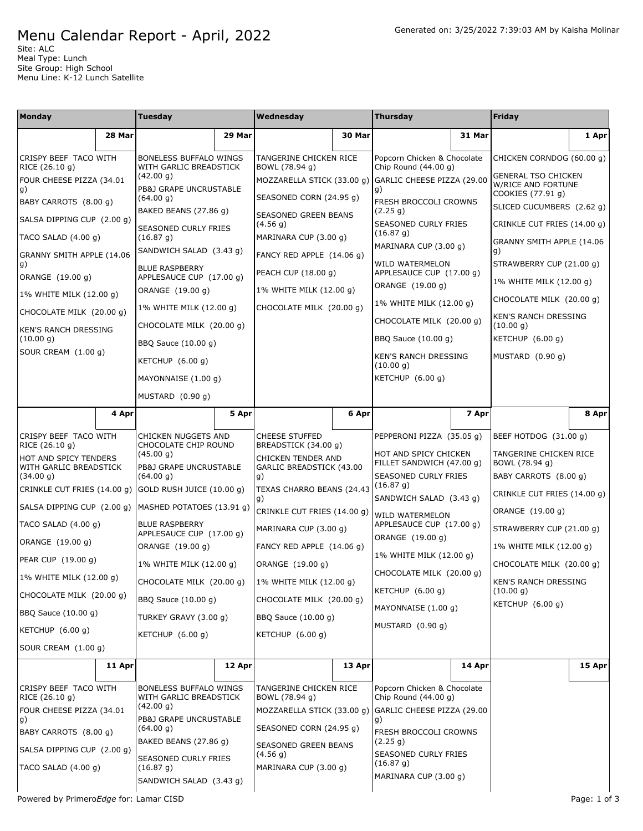## Menu Calendar Report - April, 2022

Site: ALC Meal Type: Lunch Site Group: High School Menu Line: K-12 Lunch Satellite

| Monday                                  |        | Tuesday                                           |        | Wednesday                                                         |        | <b>Thursday</b>                                     |        | Friday                                                  |          |
|-----------------------------------------|--------|---------------------------------------------------|--------|-------------------------------------------------------------------|--------|-----------------------------------------------------|--------|---------------------------------------------------------|----------|
|                                         | 28 Mar |                                                   | 29 Mar |                                                                   | 30 Mar |                                                     | 31 Mar |                                                         | 1 Apr    |
| CRISPY BEEF TACO WITH<br>RICE (26.10 g) |        | BONELESS BUFFALO WINGS<br>WITH GARLIC BREADSTICK  |        | TANGERINE CHICKEN RICE<br>BOWL (78.94 g)                          |        | Popcorn Chicken & Chocolate<br>Chip Round (44.00 q) |        | CHICKEN CORNDOG (60.00 g)                               |          |
| FOUR CHEESE PIZZA (34.01<br>g)          |        | (42.00 g)<br>PB&J GRAPE UNCRUSTABLE               |        | MOZZARELLA STICK (33.00 g) GARLIC CHEESE PIZZA (29.00             |        | g)                                                  |        | <b>GENERAL TSO CHICKEN</b><br><b>W/RICE AND FORTUNE</b> |          |
| BABY CARROTS (8.00 g)                   |        | (64.00 g)                                         |        | SEASONED CORN (24.95 g)                                           |        | FRESH BROCCOLI CROWNS                               |        | COOKIES (77.91 g)<br>SLICED CUCUMBERS (2.62 g)          |          |
| SALSA DIPPING CUP (2.00 g)              |        | BAKED BEANS (27.86 g)                             |        | SEASONED GREEN BEANS<br>(4.56 g)                                  |        | (2.25 g)<br><b>SEASONED CURLY FRIES</b>             |        | CRINKLE CUT FRIES (14.00 g)                             |          |
| TACO SALAD $(4.00 g)$                   |        | SEASONED CURLY FRIES<br>(16.87 g)                 |        | MARINARA CUP (3.00 g)                                             |        | (16.87 g)                                           |        | GRANNY SMITH APPLE (14.06                               |          |
| GRANNY SMITH APPLE (14.06               |        | SANDWICH SALAD (3.43 g)                           |        | FANCY RED APPLE (14.06 g)                                         |        | MARINARA CUP (3.00 g)<br><b>WILD WATERMELON</b>     |        | g)<br>STRAWBERRY CUP (21.00 g)                          |          |
| g)<br>ORANGE (19.00 g)                  |        | <b>BLUE RASPBERRY</b><br>APPLESAUCE CUP (17.00 g) |        | PEACH CUP (18.00 g)                                               |        | APPLESAUCE CUP (17.00 g)                            |        | 1% WHITE MILK (12.00 g)                                 |          |
| 1% WHITE MILK (12.00 g)                 |        | ORANGE (19.00 g)                                  |        | 1% WHITE MILK (12.00 g)                                           |        | ORANGE (19.00 g)                                    |        | CHOCOLATE MILK (20.00 g)                                |          |
| CHOCOLATE MILK (20.00 g)                |        | 1% WHITE MILK (12.00 g)                           |        | CHOCOLATE MILK (20.00 g)                                          |        | 1% WHITE MILK (12.00 g)                             |        | <b>KEN'S RANCH DRESSING</b>                             |          |
| KEN'S RANCH DRESSING                    |        | CHOCOLATE MILK (20.00 g)                          |        |                                                                   |        | CHOCOLATE MILK (20.00 g)                            |        | (10.00 g)                                               |          |
| (10.00 g)<br>SOUR CREAM (1.00 g)        |        | BBQ Sauce (10.00 g)                               |        |                                                                   |        | BBQ Sauce (10.00 g)                                 |        | KETCHUP (6.00 g)                                        |          |
|                                         |        | KETCHUP (6.00 g)                                  |        |                                                                   |        | KEN'S RANCH DRESSING<br>(10.00 q)                   |        | MUSTARD (0.90 q)                                        |          |
|                                         |        | MAYONNAISE (1.00 g)                               |        |                                                                   |        | KETCHUP (6.00 g)                                    |        |                                                         |          |
|                                         |        | MUSTARD (0.90 g)                                  |        |                                                                   |        |                                                     |        |                                                         |          |
|                                         | 4 Apr  |                                                   | 5 Apr  |                                                                   | 6 Apr  |                                                     | 7 Apr  |                                                         | 8 Apr    |
| CRISPY BEEF TACO WITH<br>RICE (26.10 g) |        | CHICKEN NUGGETS AND<br>CHOCOLATE CHIP ROUND       |        | <b>CHEESE STUFFED</b><br>BREADSTICK (34.00 g)                     |        | PEPPERONI PIZZA (35.05 g)                           |        | BEEF HOTDOG (31.00 g)                                   |          |
| HOT AND SPICY TENDERS                   |        | (45.00 g)                                         |        | CHICKEN TENDER AND                                                |        | HOT AND SPICY CHICKEN<br>FILLET SANDWICH (47.00 g)  |        | TANGERINE CHICKEN RICE<br>BOWL (78.94 g)                |          |
| WITH GARLIC BREADSTICK<br>(34.00 g)     |        | PB&J GRAPE UNCRUSTABLE<br>(64.00 g)               |        | GARLIC BREADSTICK (43.00<br>g)<br>TEXAS CHARRO BEANS (24.43<br>g) |        | SEASONED CURLY FRIES                                |        | BABY CARROTS (8.00 g)                                   |          |
| CRINKLE CUT FRIES (14.00 g)             |        | GOLD RUSH JUICE (10.00 g)                         |        |                                                                   |        | (16.87 g)<br>SANDWICH SALAD (3.43 g)                |        | CRINKLE CUT FRIES (14.00 g)                             |          |
| SALSA DIPPING CUP (2.00 g)              |        | MASHED POTATOES (13.91 g)                         |        | CRINKLE CUT FRIES (14.00 g)                                       |        | WILD WATERMELON                                     |        | ORANGE (19.00 g)                                        |          |
| TACO SALAD $(4.00 g)$                   |        | <b>BLUE RASPBERRY</b><br>APPLESAUCE CUP (17.00 g) |        | MARINARA CUP (3.00 g)                                             |        | APPLESAUCE CUP (17.00 g)                            |        | STRAWBERRY CUP (21.00 g)                                |          |
| ORANGE (19.00 g)                        |        | ORANGE (19.00 g)                                  |        | FANCY RED APPLE (14.06 g)                                         |        | ORANGE (19.00 g)                                    |        | 1% WHITE MILK (12.00 g)                                 |          |
| PEAR CUP (19.00 g)                      |        | 1% WHITE MILK (12.00 g)                           |        | ORANGE (19.00 q)                                                  |        | 1% WHITE MILK (12.00 g)                             |        | CHOCOLATE MILK (20.00 g)                                |          |
| 1% WHITE MILK (12.00 g)                 |        | CHOCOLATE MILK (20.00 g)                          |        | 1% WHITE MILK (12.00 g)                                           |        | CHOCOLATE MILK (20.00 g)<br>KETCHUP (6.00 g)        |        | <b>KEN'S RANCH DRESSING</b><br>(10.00 g)                |          |
| CHOCOLATE MILK (20.00 g)                |        | BBQ Sauce (10.00 g)                               |        | CHOCOLATE MILK (20.00 g)                                          |        | MAYONNAISE (1.00 g)                                 |        | KETCHUP (6.00 g)                                        |          |
| BBQ Sauce (10.00 g)                     |        | TURKEY GRAVY (3.00 g)                             |        | BBQ Sauce (10.00 g)                                               |        | MUSTARD (0.90 g)                                    |        |                                                         |          |
| KETCHUP (6.00 g)                        |        | KETCHUP (6.00 g)                                  |        | KETCHUP (6.00 g)                                                  |        |                                                     |        |                                                         |          |
| SOUR CREAM (1.00 q)                     |        |                                                   |        |                                                                   |        |                                                     |        |                                                         |          |
|                                         | 11 Apr |                                                   | 12 Apr |                                                                   | 13 Apr |                                                     | 14 Apr |                                                         | $15$ Apr |
| CRISPY BEEF TACO WITH<br>RICE (26.10 g) |        | BONELESS BUFFALO WINGS<br>WITH GARLIC BREADSTICK  |        | TANGERINE CHICKEN RICE<br>BOWL (78.94 g)                          |        | Popcorn Chicken & Chocolate<br>Chip Round (44.00 g) |        |                                                         |          |
| FOUR CHEESE PIZZA (34.01                |        | (42.00 g)                                         |        | MOZZARELLA STICK (33.00 g) GARLIC CHEESE PIZZA (29.00             |        |                                                     |        |                                                         |          |
| g)<br>BABY CARROTS (8.00 g)             |        | PB&J GRAPE UNCRUSTABLE<br>(64.00 g)               |        | SEASONED CORN (24.95 g)                                           |        | g)<br>FRESH BROCCOLI CROWNS                         |        |                                                         |          |
| SALSA DIPPING CUP (2.00 g)              |        | BAKED BEANS (27.86 g)                             |        | SEASONED GREEN BEANS                                              |        | (2.25 g)                                            |        |                                                         |          |
| TACO SALAD (4.00 g)                     |        | SEASONED CURLY FRIES<br>(16.87 g)                 |        | (4.56 g)<br>MARINARA CUP (3.00 g)                                 |        | SEASONED CURLY FRIES<br>(16.87 g)                   |        |                                                         |          |
|                                         |        | SANDWICH SALAD (3.43 g)                           |        |                                                                   |        | MARINARA CUP (3.00 g)                               |        |                                                         |          |

Powered by Primero*Edge* for: Lamar CISD examples a proportion of 3 and 2 and 2 and 2 and 2 and 2 and 2 and 2 and 2 and 2 and 2 and 2 and 2 and 2 and 2 and 2 and 2 and 2 and 2 and 2 and 2 and 2 and 2 and 2 and 2 and 2 and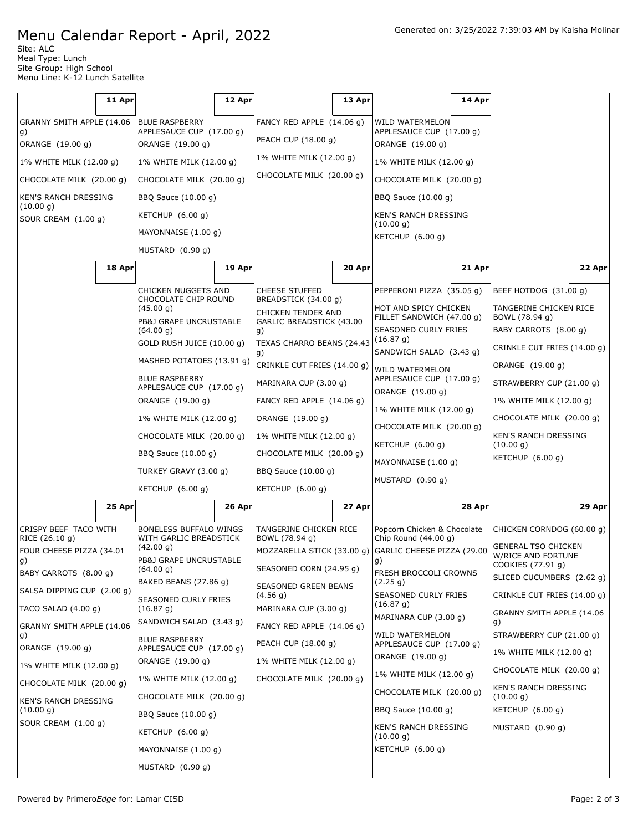## Menu Calendar Report - April, 2022

Site: ALC Meal Type: Lunch Site Group: High School Menu Line: K-12 Lunch Satellite

|                                                                                                                                                                                                                                           | 11 Apr |                                                                                                                                                                                                                                                                                                                                                                 | 12 Apr |                                                                                                                                                                                                                                                                                                                                                       | 13 Apr |                                                                                                                                                                                                                                                                                                                                                   | 14 Apr |                                                                                                                                                                                                                                                                                                    |        |
|-------------------------------------------------------------------------------------------------------------------------------------------------------------------------------------------------------------------------------------------|--------|-----------------------------------------------------------------------------------------------------------------------------------------------------------------------------------------------------------------------------------------------------------------------------------------------------------------------------------------------------------------|--------|-------------------------------------------------------------------------------------------------------------------------------------------------------------------------------------------------------------------------------------------------------------------------------------------------------------------------------------------------------|--------|---------------------------------------------------------------------------------------------------------------------------------------------------------------------------------------------------------------------------------------------------------------------------------------------------------------------------------------------------|--------|----------------------------------------------------------------------------------------------------------------------------------------------------------------------------------------------------------------------------------------------------------------------------------------------------|--------|
| GRANNY SMITH APPLE (14.06                                                                                                                                                                                                                 |        | <b>BLUE RASPBERRY</b>                                                                                                                                                                                                                                                                                                                                           |        | FANCY RED APPLE (14.06 g)                                                                                                                                                                                                                                                                                                                             |        | WILD WATERMELON                                                                                                                                                                                                                                                                                                                                   |        |                                                                                                                                                                                                                                                                                                    |        |
| g)<br>ORANGE (19.00 g)                                                                                                                                                                                                                    |        | APPLESAUCE CUP (17.00 g)<br>ORANGE (19.00 g)                                                                                                                                                                                                                                                                                                                    |        | PEACH CUP (18.00 g)                                                                                                                                                                                                                                                                                                                                   |        | APPLESAUCE CUP (17.00 g)<br>ORANGE (19.00 g)                                                                                                                                                                                                                                                                                                      |        |                                                                                                                                                                                                                                                                                                    |        |
| 1% WHITE MILK (12.00 g)                                                                                                                                                                                                                   |        | 1% WHITE MILK (12.00 g)                                                                                                                                                                                                                                                                                                                                         |        | 1% WHITE MILK (12.00 g)                                                                                                                                                                                                                                                                                                                               |        | 1% WHITE MILK (12.00 g)                                                                                                                                                                                                                                                                                                                           |        |                                                                                                                                                                                                                                                                                                    |        |
| CHOCOLATE MILK (20.00 g)                                                                                                                                                                                                                  |        | CHOCOLATE MILK (20.00 g)                                                                                                                                                                                                                                                                                                                                        |        | CHOCOLATE MILK (20.00 g)                                                                                                                                                                                                                                                                                                                              |        | CHOCOLATE MILK (20.00 g)                                                                                                                                                                                                                                                                                                                          |        |                                                                                                                                                                                                                                                                                                    |        |
| KEN'S RANCH DRESSING                                                                                                                                                                                                                      |        | BBQ Sauce (10.00 g)                                                                                                                                                                                                                                                                                                                                             |        |                                                                                                                                                                                                                                                                                                                                                       |        | BBQ Sauce (10.00 g)                                                                                                                                                                                                                                                                                                                               |        |                                                                                                                                                                                                                                                                                                    |        |
| (10.00 g)<br>SOUR CREAM (1.00 g)                                                                                                                                                                                                          |        | KETCHUP $(6.00 g)$                                                                                                                                                                                                                                                                                                                                              |        |                                                                                                                                                                                                                                                                                                                                                       |        | KEN'S RANCH DRESSING                                                                                                                                                                                                                                                                                                                              |        |                                                                                                                                                                                                                                                                                                    |        |
|                                                                                                                                                                                                                                           |        | MAYONNAISE (1.00 g)                                                                                                                                                                                                                                                                                                                                             |        |                                                                                                                                                                                                                                                                                                                                                       |        | (10.00 g)<br>KETCHUP (6.00 g)                                                                                                                                                                                                                                                                                                                     |        |                                                                                                                                                                                                                                                                                                    |        |
|                                                                                                                                                                                                                                           |        | MUSTARD (0.90 g)                                                                                                                                                                                                                                                                                                                                                |        |                                                                                                                                                                                                                                                                                                                                                       |        |                                                                                                                                                                                                                                                                                                                                                   |        |                                                                                                                                                                                                                                                                                                    |        |
|                                                                                                                                                                                                                                           | 18 Apr |                                                                                                                                                                                                                                                                                                                                                                 | 19 Apr |                                                                                                                                                                                                                                                                                                                                                       | 20 Apr |                                                                                                                                                                                                                                                                                                                                                   | 21 Apr |                                                                                                                                                                                                                                                                                                    | 22 Apr |
|                                                                                                                                                                                                                                           |        | CHICKEN NUGGETS AND<br>CHOCOLATE CHIP ROUND<br>(45.00 g)<br>PB&J GRAPE UNCRUSTABLE<br>(64.00 g)<br>GOLD RUSH JUICE (10.00 g)<br>MASHED POTATOES (13.91 g)<br><b>BLUE RASPBERRY</b><br>APPLESAUCE CUP (17.00 g)<br>ORANGE (19.00 g)<br>1% WHITE MILK (12.00 g)<br>CHOCOLATE MILK (20.00 g)<br>BBQ Sauce (10.00 g)<br>TURKEY GRAVY (3.00 g)<br>KETCHUP $(6.00 g)$ |        | <b>CHEESE STUFFED</b><br>BREADSTICK (34.00 g)<br>CHICKEN TENDER AND<br>GARLIC BREADSTICK (43.00<br>g)<br>TEXAS CHARRO BEANS (24.43<br>g)<br>CRINKLE CUT FRIES (14.00 g)<br>MARINARA CUP (3.00 g)<br>FANCY RED APPLE (14.06 g)<br>ORANGE (19.00 g)<br>1% WHITE MILK (12.00 g)<br>CHOCOLATE MILK (20.00 g)<br>BBQ Sauce (10.00 g)<br>KETCHUP $(6.00 g)$ |        | PEPPERONI PIZZA (35.05 g)<br>HOT AND SPICY CHICKEN<br>FILLET SANDWICH (47.00 g)<br>SEASONED CURLY FRIES<br>(16.87 g)<br>SANDWICH SALAD (3.43 g)<br><b>WILD WATERMELON</b><br>APPLESAUCE CUP (17.00 g)<br>ORANGE (19.00 g)<br>1% WHITE MILK (12.00 g)<br>CHOCOLATE MILK (20.00 g)<br>KETCHUP $(6.00 g)$<br>MAYONNAISE (1.00 g)<br>MUSTARD (0.90 g) |        | BEEF HOTDOG (31.00 g)<br>TANGERINE CHICKEN RICE<br>BOWL (78.94 g)<br>BABY CARROTS (8.00 g)<br>CRINKLE CUT FRIES (14.00 g)<br>ORANGE (19.00 g)<br>STRAWBERRY CUP (21.00 g)<br>1% WHITE MILK (12.00 g)<br>CHOCOLATE MILK (20.00 g)<br><b>KEN'S RANCH DRESSING</b><br>(10.00 g)<br>KETCHUP $(6.00 g)$ |        |
|                                                                                                                                                                                                                                           | 25 Apr |                                                                                                                                                                                                                                                                                                                                                                 | 26 Apr |                                                                                                                                                                                                                                                                                                                                                       | 27 Apr |                                                                                                                                                                                                                                                                                                                                                   | 28 Apr |                                                                                                                                                                                                                                                                                                    | 29 Apr |
| CRISPY BEEF TACO WITH<br>RICE (26.10 g)<br>FOUR CHEESE PIZZA (34.01<br>g)<br>BABY CARROTS (8.00 q)<br>SALSA DIPPING CUP (2.00 g)<br>TACO SALAD (4.00 g)<br>GRANNY SMITH APPLE (14.06<br>g)<br>ORANGE (19.00 g)<br>1% WHITE MILK (12.00 g) |        | <b>BONELESS BUFFALO WINGS</b><br>WITH GARLIC BREADSTICK<br>(42.00 g)<br><b>PB&amp;J GRAPE UNCRUSTABLE</b><br>(64.00 g)<br>BAKED BEANS (27.86 g)<br>SEASONED CURLY FRIES<br>(16.87 g)<br>SANDWICH SALAD (3.43 g)<br><b>BLUE RASPBERRY</b><br>APPLESAUCE CUP (17.00 g)<br>ORANGE (19.00 g)                                                                        |        | TANGERINE CHICKEN RICE<br>BOWL (78.94 g)<br>MOZZARELLA STICK (33.00 g)<br>SEASONED CORN (24.95 g)<br>SEASONED GREEN BEANS<br>(4.56 g)<br>MARINARA CUP (3.00 g)<br>FANCY RED APPLE (14.06 g)<br>PEACH CUP (18.00 g)<br>1% WHITE MILK (12.00 g)                                                                                                         |        | Popcorn Chicken & Chocolate<br>Chip Round $(44.00 q)$<br>GARLIC CHEESE PIZZA (29.00<br>g)<br>FRESH BROCCOLI CROWNS<br>(2.25 g)<br>SEASONED CURLY FRIES<br>(16.87 g)<br>MARINARA CUP (3.00 g)<br>WILD WATERMELON<br>APPLESAUCE CUP (17.00 g)<br>ORANGE (19.00 g)<br>1% WHITE MILK (12.00 g)                                                        |        | CHICKEN CORNDOG (60.00 g)<br><b>GENERAL TSO CHICKEN</b><br>W/RICE AND FORTUNE<br>COOKIES (77.91 g)<br>SLICED CUCUMBERS (2.62 g)<br>CRINKLE CUT FRIES (14.00 g)<br>GRANNY SMITH APPLE (14.06<br>g)<br>STRAWBERRY CUP (21.00 g)<br>1% WHITE MILK (12.00 g)<br>CHOCOLATE MILK (20.00 g)               |        |
| CHOCOLATE MILK (20.00 g)                                                                                                                                                                                                                  |        | 1% WHITE MILK (12.00 g)                                                                                                                                                                                                                                                                                                                                         |        | CHOCOLATE MILK (20.00 g)                                                                                                                                                                                                                                                                                                                              |        | CHOCOLATE MILK (20.00 g)                                                                                                                                                                                                                                                                                                                          |        | <b>KEN'S RANCH DRESSING</b>                                                                                                                                                                                                                                                                        |        |
| KEN'S RANCH DRESSING<br>(10.00 g)                                                                                                                                                                                                         |        | CHOCOLATE MILK (20.00 g)                                                                                                                                                                                                                                                                                                                                        |        |                                                                                                                                                                                                                                                                                                                                                       |        | BBQ Sauce (10.00 g)                                                                                                                                                                                                                                                                                                                               |        | (10.00 g)<br>KETCHUP (6.00 g)                                                                                                                                                                                                                                                                      |        |
| SOUR CREAM (1.00 g)                                                                                                                                                                                                                       |        | BBQ Sauce (10.00 g)                                                                                                                                                                                                                                                                                                                                             |        |                                                                                                                                                                                                                                                                                                                                                       |        | KEN'S RANCH DRESSING                                                                                                                                                                                                                                                                                                                              |        | MUSTARD (0.90 g)                                                                                                                                                                                                                                                                                   |        |
|                                                                                                                                                                                                                                           |        | KETCHUP (6.00 g)                                                                                                                                                                                                                                                                                                                                                |        |                                                                                                                                                                                                                                                                                                                                                       |        | (10.00 g)                                                                                                                                                                                                                                                                                                                                         |        |                                                                                                                                                                                                                                                                                                    |        |
|                                                                                                                                                                                                                                           |        | MAYONNAISE (1.00 g)<br>MUSTARD (0.90 g)                                                                                                                                                                                                                                                                                                                         |        |                                                                                                                                                                                                                                                                                                                                                       |        | KETCHUP (6.00 g)                                                                                                                                                                                                                                                                                                                                  |        |                                                                                                                                                                                                                                                                                                    |        |